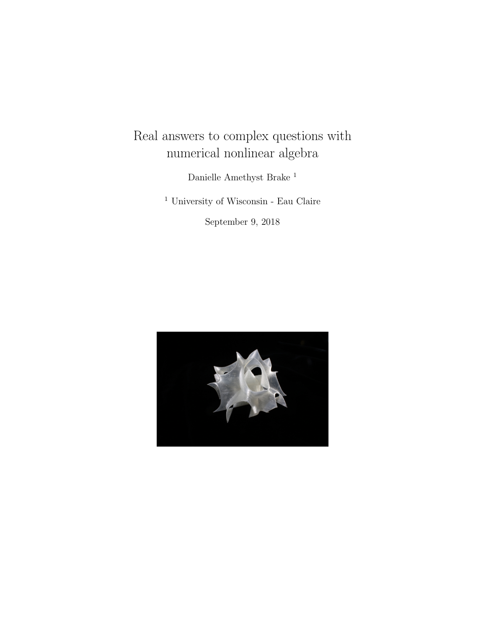# Real answers to complex questions with numerical nonlinear algebra

Danielle Amethyst Brake <sup>1</sup>

 $^{\rm 1}$ University of Wisconsin - Eau Claire

September 9, 2018

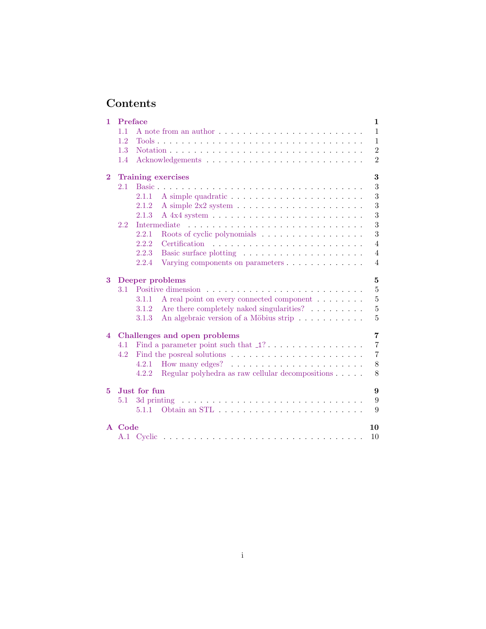# Contents

| 1        | Preface<br>1 |                                                                                                                                         |  |
|----------|--------------|-----------------------------------------------------------------------------------------------------------------------------------------|--|
|          | 1.1          | $\mathbf{1}$<br>A note from an author $\dots$ , $\dots$ , $\dots$ , $\dots$ , $\dots$ , $\dots$ , $\dots$ , $\dots$ , $\dots$ , $\dots$ |  |
|          | 1.2          | $\mathbf{1}$                                                                                                                            |  |
|          | 1.3          | $\overline{2}$                                                                                                                          |  |
|          | 1.4          | $\overline{2}$                                                                                                                          |  |
| $\bf{2}$ |              | 3<br><b>Training exercises</b>                                                                                                          |  |
|          | 2.1          | 3<br>Basic.                                                                                                                             |  |
|          |              | 3<br>2.1.1                                                                                                                              |  |
|          |              | 3<br>2.1.2                                                                                                                              |  |
|          |              | 3<br>2.1.3                                                                                                                              |  |
|          | 2.2          | 3<br>Intermediate<br>the contract of the contract of the contract of the contract of the contract of the contract of the contract of    |  |
|          |              | 3<br>2.2.1<br>Roots of cyclic polynomials $\ldots \ldots \ldots \ldots \ldots$                                                          |  |
|          |              | $\overline{4}$<br>2.2.2                                                                                                                 |  |
|          |              | 2.2.3<br>$\overline{4}$                                                                                                                 |  |
|          |              | 2.2.4<br>Varying components on parameters<br>$\overline{4}$                                                                             |  |
| 3        |              | 5<br>Deeper problems                                                                                                                    |  |
|          | 3.1          | $\overline{5}$                                                                                                                          |  |
|          |              | A real point on every connected component<br>5<br>3.1.1                                                                                 |  |
|          |              | 5<br>Are there completely naked singularities?<br>3.1.2                                                                                 |  |
|          |              | 5<br>An algebraic version of a Möbius strip<br>3.1.3                                                                                    |  |
| 4        |              | $\overline{7}$<br>Challenges and open problems                                                                                          |  |
|          | 4.1          | $\overline{7}$                                                                                                                          |  |
|          | 4.2          | $\overline{7}$                                                                                                                          |  |
|          |              | $8\,$<br>4.2.1                                                                                                                          |  |
|          |              | 8<br>Regular polyhedra as raw cellular decompositions<br>4.2.2                                                                          |  |
| 5.       |              | Just for fun<br>9                                                                                                                       |  |
|          | 5.1          | 9                                                                                                                                       |  |
|          |              | 9<br>5.1.1                                                                                                                              |  |
|          | A Code       | 10                                                                                                                                      |  |
|          | A.1          | 10                                                                                                                                      |  |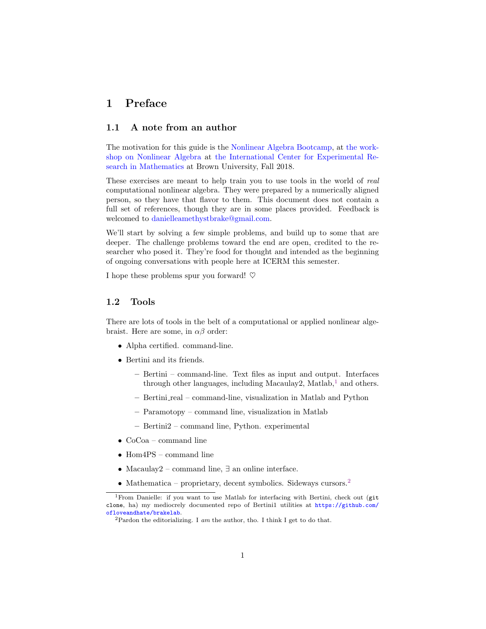### <span id="page-2-0"></span>1 Preface

#### <span id="page-2-1"></span>1.1 A note from an author

The motivation for this guide is the [Nonlinear Algebra Bootcamp,](https://icerm.brown.edu/programs/sp-f18/w4/) at [the work](https://icerm.brown.edu/programs/sp-f18/)[shop on Nonlinear Algebra](https://icerm.brown.edu/programs/sp-f18/) at [the International Center for Experimental Re](https://icerm.brown.edu/)[search in Mathematics](https://icerm.brown.edu/) at Brown University, Fall 2018.

These exercises are meant to help train you to use tools in the world of real computational nonlinear algebra. They were prepared by a numerically aligned person, so they have that flavor to them. This document does not contain a full set of references, though they are in some places provided. Feedback is welcomed to [danielleamethystbrake@gmail.com.](mailto:danielleamethystbrake@gmail.com)

We'll start by solving a few simple problems, and build up to some that are deeper. The challenge problems toward the end are open, credited to the researcher who posed it. They're food for thought and intended as the beginning of ongoing conversations with people here at ICERM this semester.

I hope these problems spur you forward!  $\heartsuit$ 

#### <span id="page-2-2"></span>1.2 Tools

There are lots of tools in the belt of a computational or applied nonlinear algebraist. Here are some, in  $\alpha\beta$  order:

- Alpha certified. command-line.
- Bertini and its friends.
	- Bertini command-line. Text files as input and output. Interfaces through other languages, including Macaulay2, Matlab,<sup>[1](#page-2-3)</sup> and others.
	- Bertini real command-line, visualization in Matlab and Python
	- Paramotopy command line, visualization in Matlab
	- Bertini2 command line, Python. experimental
- CoCoa command line
- Hom4PS command line
- Macaulay2 command line, ∃ an online interface.
- Mathematica proprietary, decent symbolics. Sideways cursors.<sup>[2](#page-2-4)</sup>

<span id="page-2-3"></span><sup>&</sup>lt;sup>1</sup>From Danielle: if you want to use Matlab for interfacing with Bertini, check out (git clone, ha) my mediocrely documented repo of Bertini1 utilities at [https://github.com/](https://github.com/ofloveandhate/brakelab) [ofloveandhate/brakelab](https://github.com/ofloveandhate/brakelab).

<span id="page-2-4"></span><sup>&</sup>lt;sup>2</sup>Pardon the editorializing. I am the author, tho. I think I get to do that.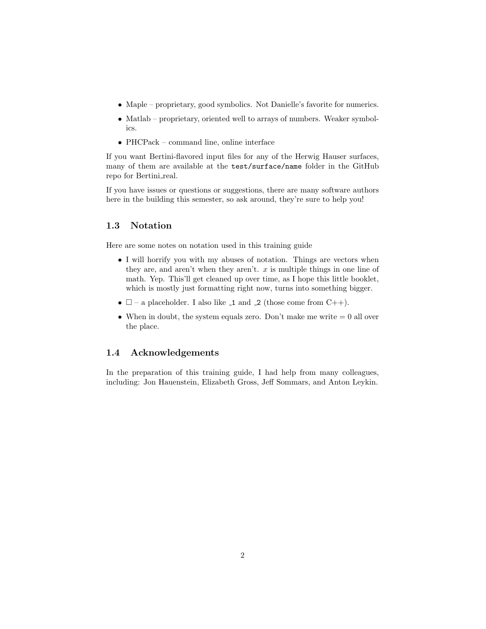- Maple proprietary, good symbolics. Not Danielle's favorite for numerics.
- Matlab proprietary, oriented well to arrays of numbers. Weaker symbolics.
- PHCPack command line, online interface

If you want Bertini-flavored input files for any of the Herwig Hauser surfaces, many of them are available at the test/surface/name folder in the GitHub repo for Bertini\_real.

If you have issues or questions or suggestions, there are many software authors here in the building this semester, so ask around, they're sure to help you!

#### <span id="page-3-0"></span>1.3 Notation

Here are some notes on notation used in this training guide

- I will horrify you with my abuses of notation. Things are vectors when they are, and aren't when they aren't.  $x$  is multiple things in one line of math. Yep. This'll get cleaned up over time, as I hope this little booklet, which is mostly just formatting right now, turns into something bigger.
- $\square$  a placeholder. I also like  $\Box$  and  $\Box$  (those come from C++).
- When in doubt, the system equals zero. Don't make me write  $= 0$  all over the place.

#### <span id="page-3-1"></span>1.4 Acknowledgements

In the preparation of this training guide, I had help from many colleagues, including: Jon Hauenstein, Elizabeth Gross, Jeff Sommars, and Anton Leykin.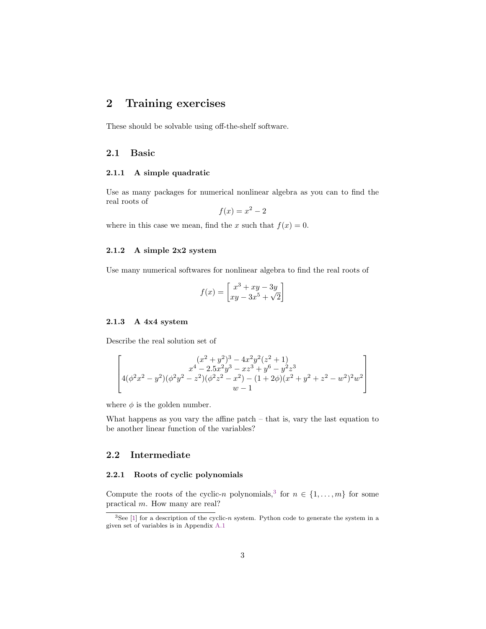### <span id="page-4-0"></span>2 Training exercises

These should be solvable using off-the-shelf software.

#### <span id="page-4-1"></span>2.1 Basic

#### <span id="page-4-2"></span>2.1.1 A simple quadratic

Use as many packages for numerical nonlinear algebra as you can to find the real roots of

$$
f(x) = x^2 - 2
$$

where in this case we mean, find the x such that  $f(x) = 0$ .

#### <span id="page-4-3"></span>2.1.2 A simple 2x2 system

Use many numerical softwares for nonlinear algebra to find the real roots of

$$
f(x) = \begin{bmatrix} x^3 + xy - 3y \\ xy - 3x^5 + \sqrt{2} \end{bmatrix}
$$

#### <span id="page-4-4"></span>2.1.3 A 4x4 system

Describe the real solution set of

$$
\begin{bmatrix}\n(x^2+y^2)^3 - 4x^2y^2(z^2+1) \\
x^4 - 2.5x^2y^3 - xz^3 + y^6 - y^2z^3 \\
4(\phi^2x^2 - y^2)(\phi^2y^2 - z^2)(\phi^2z^2 - x^2) - (1+2\phi)(x^2 + y^2 + z^2 - w^2)^2w^2 \\
w - 1\n\end{bmatrix}
$$

where  $\phi$  is the golden number.

What happens as you vary the affine patch – that is, vary the last equation to be another linear function of the variables?

#### <span id="page-4-5"></span>2.2 Intermediate

#### <span id="page-4-6"></span>2.2.1 Roots of cyclic polynomials

Compute the roots of the cyclic-n polynomials,<sup>[3](#page-4-7)</sup> for  $n \in \{1, ..., m\}$  for some practical m. How many are real?

<span id="page-4-7"></span> $3$ See [\[1\]](#page-12-0) for a description of the cyclic-n system. Python code to generate the system in a given set of variables is in Appendix [A.1](#page-11-1)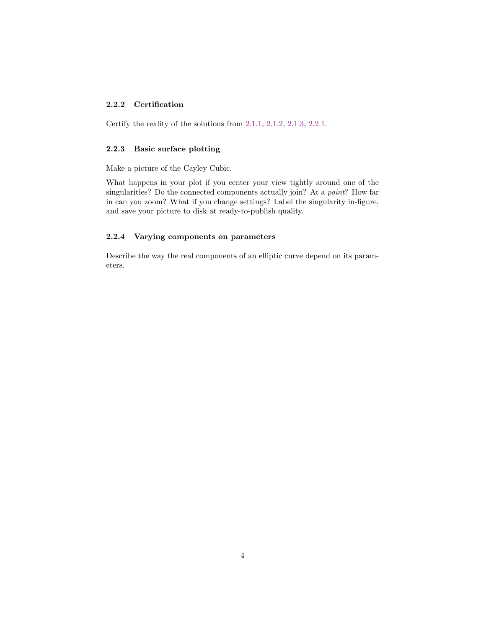#### <span id="page-5-0"></span>2.2.2 Certification

Certify the reality of the solutions from [2.1.1,](#page-4-2) [2.1.2,](#page-4-3) [2.1.3,](#page-4-4) [2.2.1.](#page-4-6)

#### <span id="page-5-1"></span>2.2.3 Basic surface plotting

Make a picture of the Cayley Cubic.

What happens in your plot if you center your view tightly around one of the singularities? Do the connected components actually join? At a point? How far in can you zoom? What if you change settings? Label the singularity in-figure, and save your picture to disk at ready-to-publish quality.

#### <span id="page-5-2"></span>2.2.4 Varying components on parameters

Describe the way the real components of an elliptic curve depend on its parameters.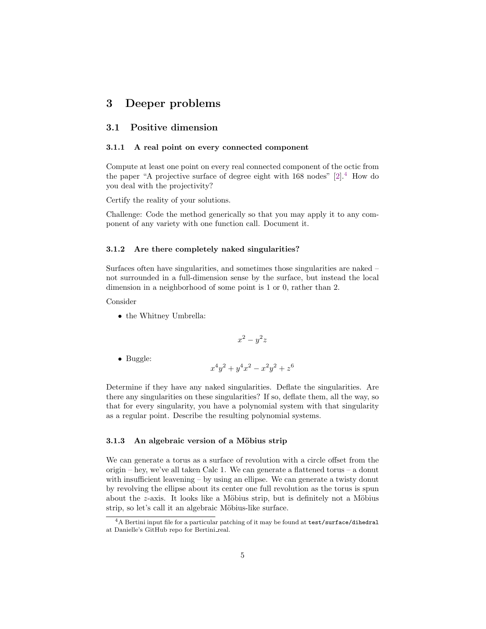### <span id="page-6-0"></span>3 Deeper problems

#### <span id="page-6-1"></span>3.1 Positive dimension

#### <span id="page-6-2"></span>3.1.1 A real point on every connected component

Compute at least one point on every real connected component of the octic from the paper "A projective surface of degree eight with  $168 \text{ nodes}$ " [\[2\]](#page-12-1).<sup>[4](#page-6-5)</sup> How do you deal with the projectivity?

Certify the reality of your solutions.

Challenge: Code the method generically so that you may apply it to any component of any variety with one function call. Document it.

#### <span id="page-6-3"></span>3.1.2 Are there completely naked singularities?

Surfaces often have singularities, and sometimes those singularities are naked – not surrounded in a full-dimension sense by the surface, but instead the local dimension in a neighborhood of some point is 1 or 0, rather than 2.

Consider

• the Whitney Umbrella:

$$
x^2 - y^2 z
$$

• Buggle:

$$
x^4y^2 + y^4x^2 - x^2y^2 + z^6
$$

Determine if they have any naked singularities. Deflate the singularities. Are there any singularities on these singularities? If so, deflate them, all the way, so that for every singularity, you have a polynomial system with that singularity as a regular point. Describe the resulting polynomial systems.

#### <span id="page-6-4"></span>3.1.3 An algebraic version of a Möbius strip

We can generate a torus as a surface of revolution with a circle offset from the origin – hey, we've all taken Calc 1. We can generate a flattened torus – a donut with insufficient leavening – by using an ellipse. We can generate a twisty donut by revolving the ellipse about its center one full revolution as the torus is spun about the  $z$ -axis. It looks like a Möbius strip, but is definitely not a Möbius strip, so let's call it an algebraic Möbius-like surface.

<span id="page-6-5"></span><sup>4</sup>A Bertini input file for a particular patching of it may be found at test/surface/dihedral at Danielle's GitHub repo for Bertini real.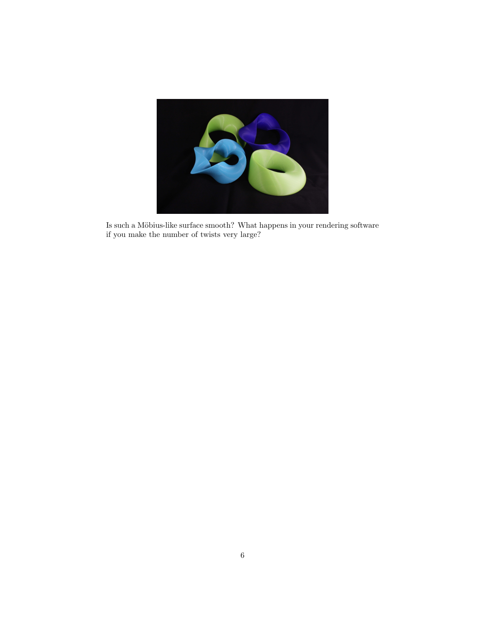

Is such a Möbius-like surface smooth? What happens in your rendering software if you make the number of twists very large?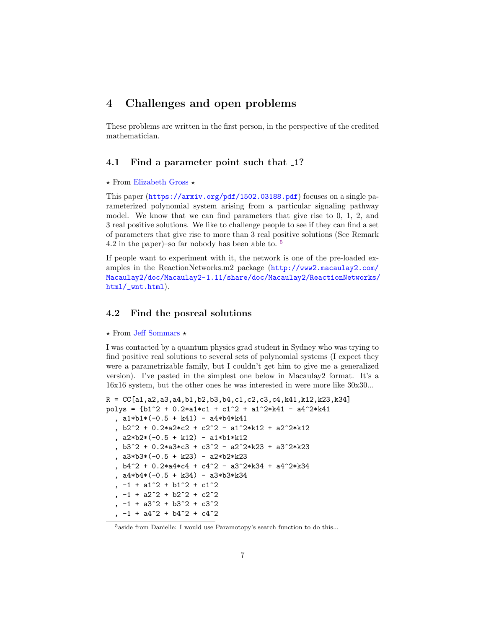### <span id="page-8-0"></span>4 Challenges and open problems

These problems are written in the first person, in the perspective of the credited mathematician.

#### <span id="page-8-1"></span>4.1 Find a parameter point such that 1?

#### $\star$  From [Elizabeth Gross](https://math.hawaii.edu/wordpress/people/egross/)  $\star$

This paper (<https://arxiv.org/pdf/1502.03188.pdf>) focuses on a single parameterized polynomial system arising from a particular signaling pathway model. We know that we can find parameters that give rise to 0, 1, 2, and 3 real positive solutions. We like to challenge people to see if they can find a set of parameters that give rise to more than 3 real positive solutions (See Remark 4.2 in the paper)–so far nobody has been able to.  $5$ 

If people want to experiment with it, the network is one of the pre-loaded examples in the ReactionNetworks.m2 package ([http://www2.macaulay2.com/](http://www2.macaulay2.com/Macaulay2/doc/Macaulay2-1.11/share/doc/Macaulay2/ReactionNetworks/html/_wnt.html) [Macaulay2/doc/Macaulay2-1.11/share/doc/Macaulay2/ReactionNetworks/](http://www2.macaulay2.com/Macaulay2/doc/Macaulay2-1.11/share/doc/Macaulay2/ReactionNetworks/html/_wnt.html) [html/\\_wnt.html](http://www2.macaulay2.com/Macaulay2/doc/Macaulay2-1.11/share/doc/Macaulay2/ReactionNetworks/html/_wnt.html)).

#### <span id="page-8-2"></span>4.2 Find the posreal solutions

#### $\star$  From [Jeff Sommars](http://homepages.math.uic.edu/~sommars/)  $\star$

I was contacted by a quantum physics grad student in Sydney who was trying to find positive real solutions to several sets of polynomial systems (I expect they were a parametrizable family, but I couldn't get him to give me a generalized version). I've pasted in the simplest one below in Macaulay2 format. It's a 16x16 system, but the other ones he was interested in were more like 30x30...

```
R = CC[a1, a2, a3, a4, b1, b2, b3, b4, c1, c2, c3, c4, k41, k12, k23, k34]polys = \{b1^2 + 0.2^*a1*c1 + c1^2 + a1^*2*k41 - a4^*2*k41, a1*b1*(-0.5 + k41) - a4*b4*k41, b2^2 + 0.2*a2*c2 + c2^2 - a1^2*k12 + a2^2*k12
  , a2*b2*(-0.5 + k12) - a1*b1*k12
  , b3^2 + 0.2*a3*c3 + c3^2 - a2^2*k23 + a3^2*k23
  , a3*b3*(-0.5 + k23) - a2*b2*k23
  , b4^2 + 0.2*a4*c4 + c4^2 - a3^2*k34 + a4^2*k34, a4*b4*(-0.5 + k34) - a3*b3*k34, -1 + a1^2 + b1^2 + c1^2-1 + a2^2 + b2^2 + c2^2, -1 + a3^2 + b3^2 + c3^2, -1 + a4^2 + b4^2 + c4^2
```
<span id="page-8-3"></span><sup>5</sup>aside from Danielle: I would use Paramotopy's search function to do this...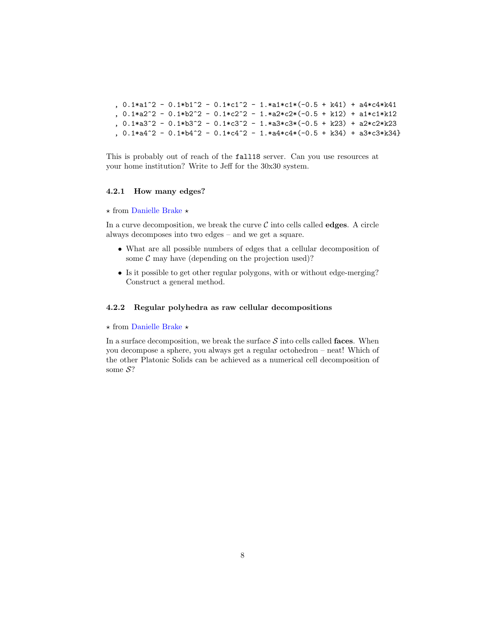```
, 0.1*a1^2 - 0.1*b1^2 - 0.1*c1^2 - 1.*a1*c1*(-0.5 + k41) + a4*c4*k41, 0.1*a2^2 - 0.1*b2^2 - 0.1*c2^2 - 1.*a2*c2*(-0.5 + k12) + a1*c1*k12, 0.1*a3^2 - 0.1*b3^2 - 0.1*c3^2 - 1.*a3*c3*(-0.5 + k23) + a2*c2*k23, 0.1*a4^2 - 0.1*b4^2 - 0.1*c4^2 - 1.*a4*c4*(-0.5 + k34) + a3*c3*k34
```

```
This is probably out of reach of the fall18 server. Can you use resources at
your home institution? Write to Jeff for the 30x30 system.
```
#### <span id="page-9-0"></span>4.2.1 How many edges?

#### $\star$  from [Danielle Brake](https://danielleamethyst.org)  $\star$

In a curve decomposition, we break the curve  $\mathcal C$  into cells called **edges**. A circle always decomposes into two edges – and we get a square.

- What are all possible numbers of edges that a cellular decomposition of some  $\mathcal C$  may have (depending on the projection used)?
- Is it possible to get other regular polygons, with or without edge-merging? Construct a general method.

#### <span id="page-9-1"></span>4.2.2 Regular polyhedra as raw cellular decompositions

#### $\star$  from [Danielle Brake](https://danielleamethyst.org)  $\star$

In a surface decomposition, we break the surface  $S$  into cells called faces. When you decompose a sphere, you always get a regular octohedron – neat! Which of the other Platonic Solids can be achieved as a numerical cell decomposition of some  $S$ ?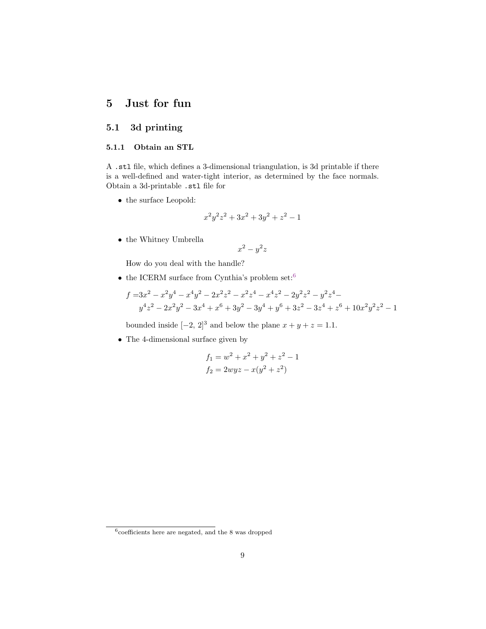### <span id="page-10-0"></span>5 Just for fun

### <span id="page-10-1"></span>5.1 3d printing

#### <span id="page-10-2"></span>5.1.1 Obtain an STL

A .stl file, which defines a 3-dimensional triangulation, is 3d printable if there is a well-defined and water-tight interior, as determined by the face normals. Obtain a 3d-printable .stl file for

 $\bullet\,$  the surface Leopold:

$$
x^2y^2z^2 + 3x^2 + 3y^2 + z^2 - 1
$$

 $\bullet\,$  the Whitney Umbrella

$$
x^2 - y^2 z
$$

How do you deal with the handle?

 $\bullet\,$  the ICERM surface from Cynthia's problem  $\text{set:}^6$  $\text{set:}^6$ 

$$
f = 3x^2 - x^2y^4 - x^4y^2 - 2x^2z^2 - x^2z^4 - x^4z^2 - 2y^2z^2 - y^2z^4 - y^4z^2 - 2x^2y^2 - 3x^4 + x^6 + 3y^2 - 3y^4 + y^6 + 3z^2 - 3z^4 + z^6 + 10x^2y^2z^2 - 1
$$

bounded inside  $[-2, 2]^3$  and below the plane  $x + y + z = 1.1$ .

• The 4-dimensional surface given by

$$
f_1 = w^2 + x^2 + y^2 + z^2 - 1
$$
  

$$
f_2 = 2wyz - x(y^2 + z^2)
$$

<span id="page-10-3"></span> $6$ coefficients here are negated, and the 8 was dropped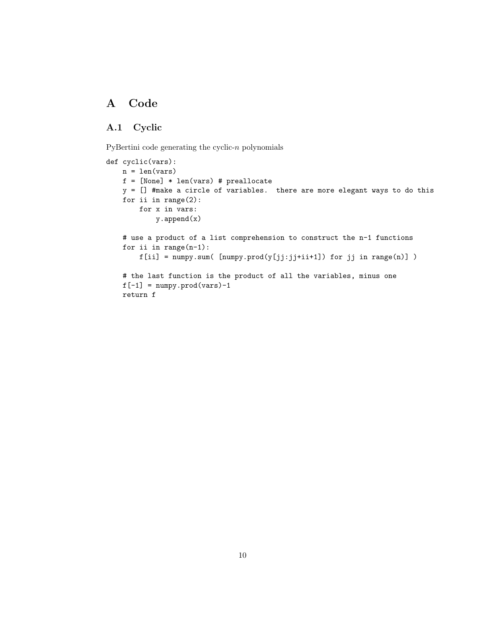## <span id="page-11-0"></span>A Code

### <span id="page-11-1"></span>A.1 Cyclic

PyBertini code generating the cyclic- $n$  polynomials

```
def cyclic(vars):
   n = len(vars)f = [None] * len(vars) # preallocate
   y = [] #make a circle of variables. there are more elegant ways to do this
    for ii in range(2):
       for x in vars:
            y.append(x)
    # use a product of a list comprehension to construct the n-1 functions
    for ii in range(n-1):
        f[i] = \texttt{numpy.sum}(\texttt{numpy.prod}(y[j];j+ii+1]) for jj in range(n)])
    # the last function is the product of all the variables, minus one
    f[-1] = \text{numpy.prod}(vars) - 1return f
```